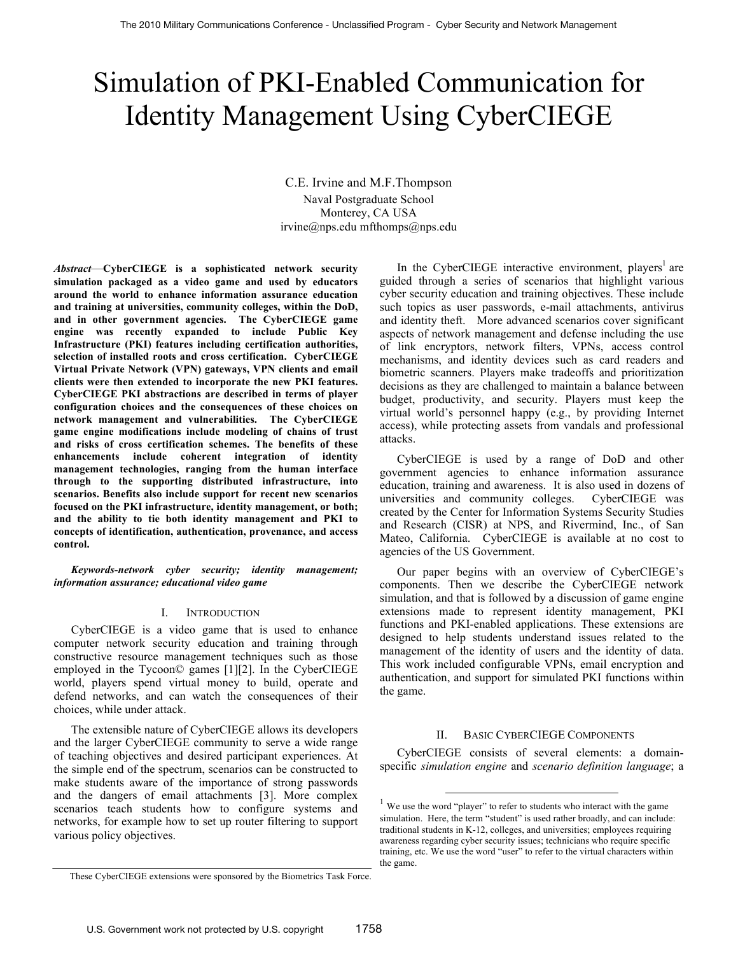# Simulation of PKI-Enabled Communication for Identity Management Using CyberCIEGE

C.E. Irvine and M.F.Thompson Naval Postgraduate School Monterey, CA USA irvine@nps.edu mfthomps@nps.edu

*Abstract*—**CyberCIEGE is a sophisticated network security simulation packaged as a video game and used by educators around the world to enhance information assurance education and training at universities, community colleges, within the DoD, and in other government agencies. The CyberCIEGE game engine was recently expanded to include Public Key Infrastructure (PKI) features including certification authorities, selection of installed roots and cross certification. CyberCIEGE Virtual Private Network (VPN) gateways, VPN clients and email clients were then extended to incorporate the new PKI features. CyberCIEGE PKI abstractions are described in terms of player configuration choices and the consequences of these choices on network management and vulnerabilities. The CyberCIEGE game engine modifications include modeling of chains of trust and risks of cross certification schemes. The benefits of these enhancements include coherent integration of identity management technologies, ranging from the human interface through to the supporting distributed infrastructure, into scenarios. Benefits also include support for recent new scenarios focused on the PKI infrastructure, identity management, or both; and the ability to tie both identity management and PKI to concepts of identification, authentication, provenance, and access control.**

*Keywords-network cyber security; identity management; information assurance; educational video game*

# I. INTRODUCTION

CyberCIEGE is a video game that is used to enhance computer network security education and training through constructive resource management techniques such as those employed in the Tycoon© games [1][2]. In the CyberCIEGE world, players spend virtual money to build, operate and defend networks, and can watch the consequences of their choices, while under attack.

The extensible nature of CyberCIEGE allows its developers and the larger CyberCIEGE community to serve a wide range of teaching objectives and desired participant experiences. At the simple end of the spectrum, scenarios can be constructed to make students aware of the importance of strong passwords and the dangers of email attachments [3]. More complex scenarios teach students how to configure systems and networks, for example how to set up router filtering to support various policy objectives.

In the CyberCIEGE interactive environment, players<sup>1</sup> are guided through a series of scenarios that highlight various cyber security education and training objectives. These include such topics as user passwords, e-mail attachments, antivirus and identity theft. More advanced scenarios cover significant aspects of network management and defense including the use of link encryptors, network filters, VPNs, access control mechanisms, and identity devices such as card readers and biometric scanners. Players make tradeoffs and prioritization decisions as they are challenged to maintain a balance between budget, productivity, and security. Players must keep the virtual world's personnel happy (e.g., by providing Internet access), while protecting assets from vandals and professional attacks.

CyberCIEGE is used by a range of DoD and other government agencies to enhance information assurance education, training and awareness. It is also used in dozens of universities and community colleges. CyberCIEGE was created by the Center for Information Systems Security Studies and Research (CISR) at NPS, and Rivermind, Inc., of San Mateo, California. CyberCIEGE is available at no cost to agencies of the US Government.

Our paper begins with an overview of CyberCIEGE's components. Then we describe the CyberCIEGE network simulation, and that is followed by a discussion of game engine extensions made to represent identity management, PKI functions and PKI-enabled applications. These extensions are designed to help students understand issues related to the management of the identity of users and the identity of data. This work included configurable VPNs, email encryption and authentication, and support for simulated PKI functions within the game.

#### II. BASIC CYBERCIEGE COMPONENTS

CyberCIEGE consists of several elements: a domainspecific *simulation engine* and *scenario definition language*; a

We use the word "player" to refer to students who interact with the game simulation. Here, the term "student" is used rather broadly, and can include: traditional students in K-12, colleges, and universities; employees requiring awareness regarding cyber security issues; technicians who require specific training, etc. We use the word "user" to refer to the virtual characters within the game.

These CyberCIEGE extensions were sponsored by the Biometrics Task Force.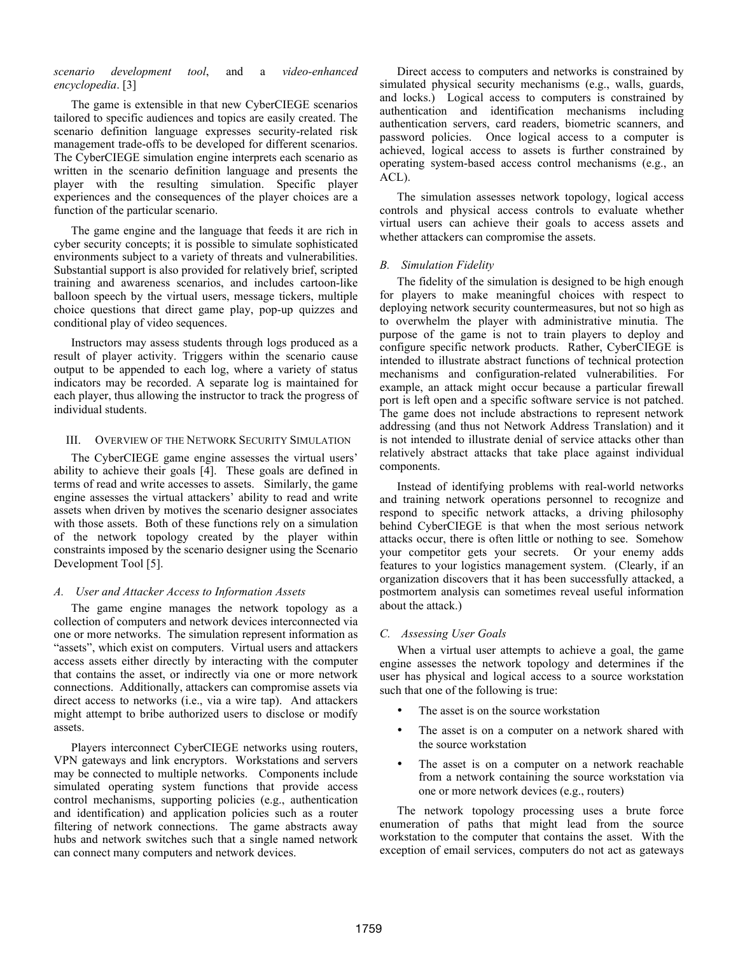# *scenario development tool*, and a *video-enhanced encyclopedia*. [3]

The game is extensible in that new CyberCIEGE scenarios tailored to specific audiences and topics are easily created. The scenario definition language expresses security-related risk management trade-offs to be developed for different scenarios. The CyberCIEGE simulation engine interprets each scenario as written in the scenario definition language and presents the player with the resulting simulation. Specific player experiences and the consequences of the player choices are a function of the particular scenario.

The game engine and the language that feeds it are rich in cyber security concepts; it is possible to simulate sophisticated environments subject to a variety of threats and vulnerabilities. Substantial support is also provided for relatively brief, scripted training and awareness scenarios, and includes cartoon-like balloon speech by the virtual users, message tickers, multiple choice questions that direct game play, pop-up quizzes and conditional play of video sequences.

Instructors may assess students through logs produced as a result of player activity. Triggers within the scenario cause output to be appended to each log, where a variety of status indicators may be recorded. A separate log is maintained for each player, thus allowing the instructor to track the progress of individual students.

#### III. OVERVIEW OF THE NETWORK SECURITY SIMULATION

The CyberCIEGE game engine assesses the virtual users' ability to achieve their goals [4]. These goals are defined in terms of read and write accesses to assets. Similarly, the game engine assesses the virtual attackers' ability to read and write assets when driven by motives the scenario designer associates with those assets. Both of these functions rely on a simulation of the network topology created by the player within constraints imposed by the scenario designer using the Scenario Development Tool [5].

# *A. User and Attacker Access to Information Assets*

The game engine manages the network topology as a collection of computers and network devices interconnected via one or more networks. The simulation represent information as "assets", which exist on computers. Virtual users and attackers access assets either directly by interacting with the computer that contains the asset, or indirectly via one or more network connections. Additionally, attackers can compromise assets via direct access to networks (i.e., via a wire tap). And attackers might attempt to bribe authorized users to disclose or modify assets.

Players interconnect CyberCIEGE networks using routers, VPN gateways and link encryptors. Workstations and servers may be connected to multiple networks. Components include simulated operating system functions that provide access control mechanisms, supporting policies (e.g., authentication and identification) and application policies such as a router filtering of network connections. The game abstracts away hubs and network switches such that a single named network can connect many computers and network devices.

Direct access to computers and networks is constrained by simulated physical security mechanisms (e.g., walls, guards, and locks.) Logical access to computers is constrained by authentication and identification mechanisms including authentication servers, card readers, biometric scanners, and password policies. Once logical access to a computer is achieved, logical access to assets is further constrained by operating system-based access control mechanisms (e.g., an ACL).

The simulation assesses network topology, logical access controls and physical access controls to evaluate whether virtual users can achieve their goals to access assets and whether attackers can compromise the assets.

# *B. Simulation Fidelity*

The fidelity of the simulation is designed to be high enough for players to make meaningful choices with respect to deploying network security countermeasures, but not so high as to overwhelm the player with administrative minutia. The purpose of the game is not to train players to deploy and configure specific network products. Rather, CyberCIEGE is intended to illustrate abstract functions of technical protection mechanisms and configuration-related vulnerabilities. For example, an attack might occur because a particular firewall port is left open and a specific software service is not patched. The game does not include abstractions to represent network addressing (and thus not Network Address Translation) and it is not intended to illustrate denial of service attacks other than relatively abstract attacks that take place against individual components.

Instead of identifying problems with real-world networks and training network operations personnel to recognize and respond to specific network attacks, a driving philosophy behind CyberCIEGE is that when the most serious network attacks occur, there is often little or nothing to see. Somehow your competitor gets your secrets. Or your enemy adds features to your logistics management system. (Clearly, if an organization discovers that it has been successfully attacked, a postmortem analysis can sometimes reveal useful information about the attack.)

# *C. Assessing User Goals*

When a virtual user attempts to achieve a goal, the game engine assesses the network topology and determines if the user has physical and logical access to a source workstation such that one of the following is true:

- The asset is on the source workstation
- The asset is on a computer on a network shared with the source workstation
- The asset is on a computer on a network reachable from a network containing the source workstation via one or more network devices (e.g., routers)

The network topology processing uses a brute force enumeration of paths that might lead from the source workstation to the computer that contains the asset. With the exception of email services, computers do not act as gateways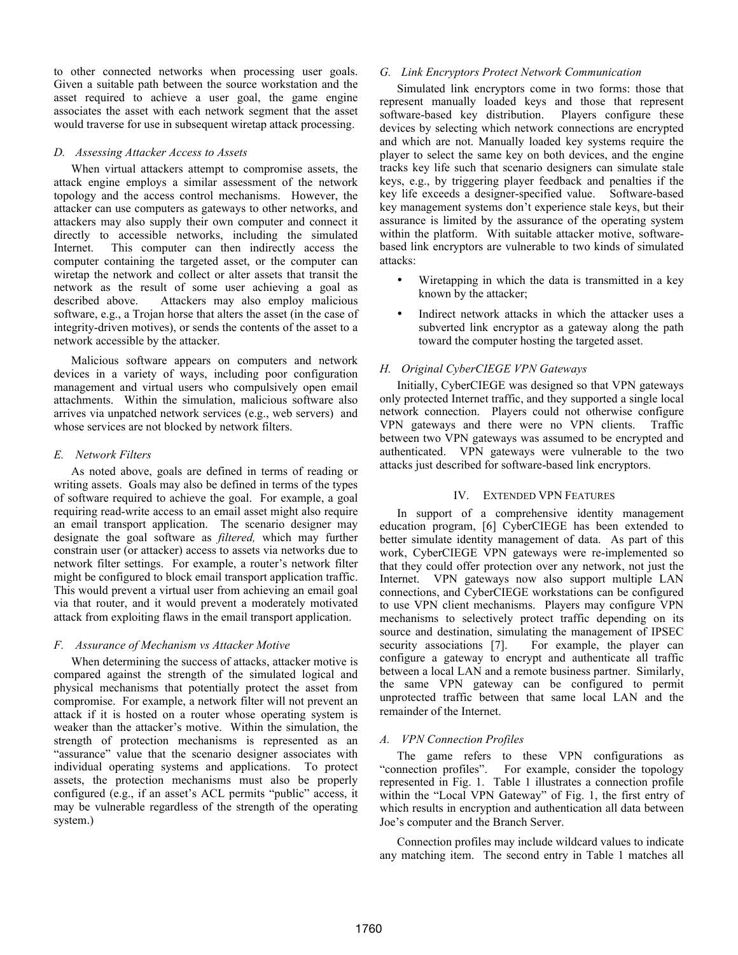to other connected networks when processing user goals. Given a suitable path between the source workstation and the asset required to achieve a user goal, the game engine associates the asset with each network segment that the asset would traverse for use in subsequent wiretap attack processing.

#### *D. Assessing Attacker Access to Assets*

When virtual attackers attempt to compromise assets, the attack engine employs a similar assessment of the network topology and the access control mechanisms. However, the attacker can use computers as gateways to other networks, and attackers may also supply their own computer and connect it directly to accessible networks, including the simulated Internet. This computer can then indirectly access the computer containing the targeted asset, or the computer can wiretap the network and collect or alter assets that transit the network as the result of some user achieving a goal as described above. Attackers may also employ malicious software, e.g., a Trojan horse that alters the asset (in the case of integrity-driven motives), or sends the contents of the asset to a network accessible by the attacker.

Malicious software appears on computers and network devices in a variety of ways, including poor configuration management and virtual users who compulsively open email attachments. Within the simulation, malicious software also arrives via unpatched network services (e.g., web servers) and whose services are not blocked by network filters.

#### *E. Network Filters*

As noted above, goals are defined in terms of reading or writing assets. Goals may also be defined in terms of the types of software required to achieve the goal. For example, a goal requiring read-write access to an email asset might also require an email transport application. The scenario designer may designate the goal software as *filtered,* which may further constrain user (or attacker) access to assets via networks due to network filter settings. For example, a router's network filter might be configured to block email transport application traffic. This would prevent a virtual user from achieving an email goal via that router, and it would prevent a moderately motivated attack from exploiting flaws in the email transport application.

# *F. Assurance of Mechanism vs Attacker Motive*

When determining the success of attacks, attacker motive is compared against the strength of the simulated logical and physical mechanisms that potentially protect the asset from compromise. For example, a network filter will not prevent an attack if it is hosted on a router whose operating system is weaker than the attacker's motive. Within the simulation, the strength of protection mechanisms is represented as an "assurance" value that the scenario designer associates with individual operating systems and applications. To protect assets, the protection mechanisms must also be properly configured (e.g., if an asset's ACL permits "public" access, it may be vulnerable regardless of the strength of the operating system.)

#### *G. Link Encryptors Protect Network Communication*

Simulated link encryptors come in two forms: those that represent manually loaded keys and those that represent software-based key distribution. Players configure these devices by selecting which network connections are encrypted and which are not. Manually loaded key systems require the player to select the same key on both devices, and the engine tracks key life such that scenario designers can simulate stale keys, e.g., by triggering player feedback and penalties if the key life exceeds a designer-specified value. Software-based key management systems don't experience stale keys, but their assurance is limited by the assurance of the operating system within the platform. With suitable attacker motive, softwarebased link encryptors are vulnerable to two kinds of simulated attacks:

- Wiretapping in which the data is transmitted in a key known by the attacker;
- Indirect network attacks in which the attacker uses a subverted link encryptor as a gateway along the path toward the computer hosting the targeted asset.

# *H. Original CyberCIEGE VPN Gateways*

Initially, CyberCIEGE was designed so that VPN gateways only protected Internet traffic, and they supported a single local network connection. Players could not otherwise configure VPN gateways and there were no VPN clients. Traffic between two VPN gateways was assumed to be encrypted and authenticated. VPN gateways were vulnerable to the two attacks just described for software-based link encryptors.

# IV. EXTENDED VPN FEATURES

In support of a comprehensive identity management education program, [6] CyberCIEGE has been extended to better simulate identity management of data. As part of this work, CyberCIEGE VPN gateways were re-implemented so that they could offer protection over any network, not just the Internet. VPN gateways now also support multiple LAN connections, and CyberCIEGE workstations can be configured to use VPN client mechanisms. Players may configure VPN mechanisms to selectively protect traffic depending on its source and destination, simulating the management of IPSEC security associations [7]. For example, the player can For example, the player can configure a gateway to encrypt and authenticate all traffic between a local LAN and a remote business partner. Similarly, the same VPN gateway can be configured to permit unprotected traffic between that same local LAN and the remainder of the Internet.

# *A. VPN Connection Profiles*

The game refers to these VPN configurations as "connection profiles". For example, consider the topology represented in Fig. 1. Table 1 illustrates a connection profile within the "Local VPN Gateway" of Fig. 1, the first entry of which results in encryption and authentication all data between Joe's computer and the Branch Server.

Connection profiles may include wildcard values to indicate any matching item. The second entry in Table 1 matches all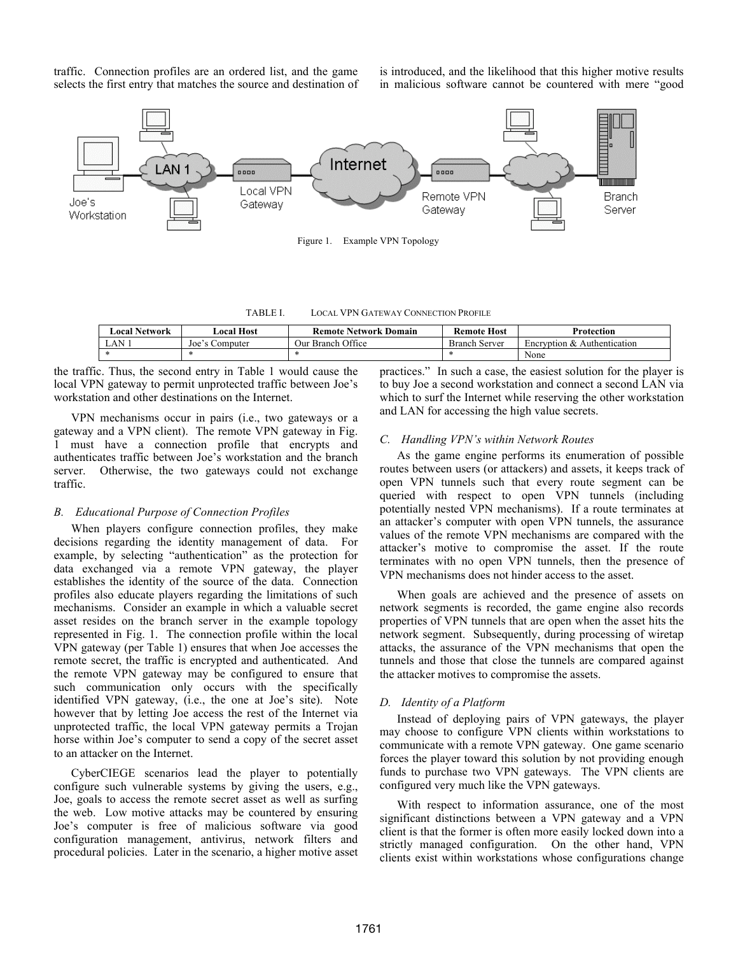traffic. Connection profiles are an ordered list, and the game selects the first entry that matches the source and destination of is introduced, and the likelihood that this higher motive results in malicious software cannot be countered with mere "good



TABLE I. LOCAL VPN GATEWAY CONNECTION PROFILE

| Local Network | ∟ocal Host                            | <b>Remote Network Domain</b> | <b>Remote Host</b>   | Protection                  |
|---------------|---------------------------------------|------------------------------|----------------------|-----------------------------|
| LAN.          | $\text{Joe } \mathcal{S}$<br>Computer | Our Branch Office            | <b>Branch Server</b> | Encryption & Authentication |
|               |                                       |                              |                      | None                        |

the traffic. Thus, the second entry in Table 1 would cause the local VPN gateway to permit unprotected traffic between Joe's workstation and other destinations on the Internet.

VPN mechanisms occur in pairs (i.e., two gateways or a gateway and a VPN client). The remote VPN gateway in Fig. 1 must have a connection profile that encrypts and authenticates traffic between Joe's workstation and the branch server. Otherwise, the two gateways could not exchange traffic.

#### *B. Educational Purpose of Connection Profiles*

When players configure connection profiles, they make decisions regarding the identity management of data. For example, by selecting "authentication" as the protection for data exchanged via a remote VPN gateway, the player establishes the identity of the source of the data. Connection profiles also educate players regarding the limitations of such mechanisms. Consider an example in which a valuable secret asset resides on the branch server in the example topology represented in Fig. 1. The connection profile within the local VPN gateway (per Table 1) ensures that when Joe accesses the remote secret, the traffic is encrypted and authenticated. And the remote VPN gateway may be configured to ensure that such communication only occurs with the specifically identified VPN gateway, (i.e., the one at Joe's site). Note however that by letting Joe access the rest of the Internet via unprotected traffic, the local VPN gateway permits a Trojan horse within Joe's computer to send a copy of the secret asset to an attacker on the Internet.

CyberCIEGE scenarios lead the player to potentially configure such vulnerable systems by giving the users, e.g., Joe, goals to access the remote secret asset as well as surfing the web. Low motive attacks may be countered by ensuring Joe's computer is free of malicious software via good configuration management, antivirus, network filters and procedural policies. Later in the scenario, a higher motive asset practices." In such a case, the easiest solution for the player is to buy Joe a second workstation and connect a second LAN via which to surf the Internet while reserving the other workstation and LAN for accessing the high value secrets.

#### *C. Handling VPN's within Network Routes*

As the game engine performs its enumeration of possible routes between users (or attackers) and assets, it keeps track of open VPN tunnels such that every route segment can be queried with respect to open VPN tunnels (including potentially nested VPN mechanisms). If a route terminates at an attacker's computer with open VPN tunnels, the assurance values of the remote VPN mechanisms are compared with the attacker's motive to compromise the asset. If the route terminates with no open VPN tunnels, then the presence of VPN mechanisms does not hinder access to the asset.

When goals are achieved and the presence of assets on network segments is recorded, the game engine also records properties of VPN tunnels that are open when the asset hits the network segment. Subsequently, during processing of wiretap attacks, the assurance of the VPN mechanisms that open the tunnels and those that close the tunnels are compared against the attacker motives to compromise the assets.

### *D. Identity of a Platform*

Instead of deploying pairs of VPN gateways, the player may choose to configure VPN clients within workstations to communicate with a remote VPN gateway. One game scenario forces the player toward this solution by not providing enough funds to purchase two VPN gateways. The VPN clients are configured very much like the VPN gateways.

With respect to information assurance, one of the most significant distinctions between a VPN gateway and a VPN client is that the former is often more easily locked down into a strictly managed configuration. On the other hand, VPN clients exist within workstations whose configurations change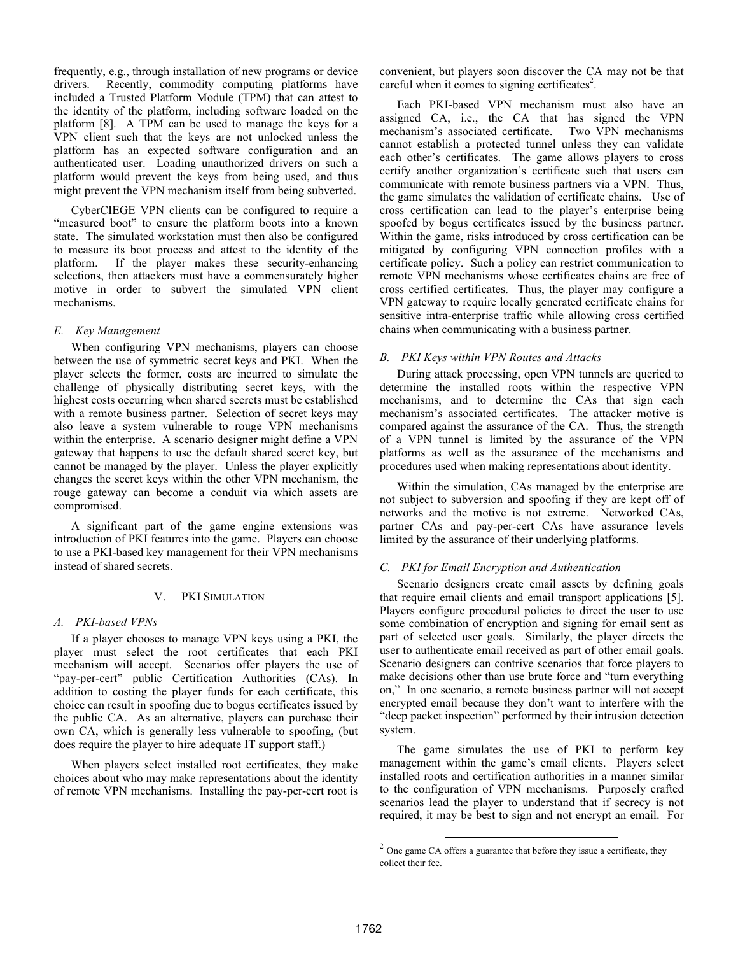frequently, e.g., through installation of new programs or device drivers. Recently, commodity computing platforms have included a Trusted Platform Module (TPM) that can attest to the identity of the platform, including software loaded on the platform [8]. A TPM can be used to manage the keys for a VPN client such that the keys are not unlocked unless the platform has an expected software configuration and an authenticated user. Loading unauthorized drivers on such a platform would prevent the keys from being used, and thus might prevent the VPN mechanism itself from being subverted.

CyberCIEGE VPN clients can be configured to require a "measured boot" to ensure the platform boots into a known state. The simulated workstation must then also be configured to measure its boot process and attest to the identity of the platform. If the player makes these security-enhancing selections, then attackers must have a commensurately higher motive in order to subvert the simulated VPN client mechanisms.

#### *E. Key Management*

When configuring VPN mechanisms, players can choose between the use of symmetric secret keys and PKI. When the player selects the former, costs are incurred to simulate the challenge of physically distributing secret keys, with the highest costs occurring when shared secrets must be established with a remote business partner. Selection of secret keys may also leave a system vulnerable to rouge VPN mechanisms within the enterprise. A scenario designer might define a VPN gateway that happens to use the default shared secret key, but cannot be managed by the player. Unless the player explicitly changes the secret keys within the other VPN mechanism, the rouge gateway can become a conduit via which assets are compromised.

A significant part of the game engine extensions was introduction of PKI features into the game. Players can choose to use a PKI-based key management for their VPN mechanisms instead of shared secrets.

# V. PKI SIMULATION

#### *A. PKI-based VPNs*

If a player chooses to manage VPN keys using a PKI, the player must select the root certificates that each PKI mechanism will accept. Scenarios offer players the use of "pay-per-cert" public Certification Authorities (CAs). In addition to costing the player funds for each certificate, this choice can result in spoofing due to bogus certificates issued by the public CA. As an alternative, players can purchase their own CA, which is generally less vulnerable to spoofing, (but does require the player to hire adequate IT support staff.)

When players select installed root certificates, they make choices about who may make representations about the identity of remote VPN mechanisms. Installing the pay-per-cert root is convenient, but players soon discover the CA may not be that careful when it comes to signing certificates<sup>2</sup>.

Each PKI-based VPN mechanism must also have an assigned CA, i.e., the CA that has signed the VPN mechanism's associated certificate. Two VPN mechanisms cannot establish a protected tunnel unless they can validate each other's certificates. The game allows players to cross certify another organization's certificate such that users can communicate with remote business partners via a VPN. Thus, the game simulates the validation of certificate chains. Use of cross certification can lead to the player's enterprise being spoofed by bogus certificates issued by the business partner. Within the game, risks introduced by cross certification can be mitigated by configuring VPN connection profiles with a certificate policy. Such a policy can restrict communication to remote VPN mechanisms whose certificates chains are free of cross certified certificates. Thus, the player may configure a VPN gateway to require locally generated certificate chains for sensitive intra-enterprise traffic while allowing cross certified chains when communicating with a business partner.

# *B. PKI Keys within VPN Routes and Attacks*

During attack processing, open VPN tunnels are queried to determine the installed roots within the respective VPN mechanisms, and to determine the CAs that sign each mechanism's associated certificates. The attacker motive is compared against the assurance of the CA. Thus, the strength of a VPN tunnel is limited by the assurance of the VPN platforms as well as the assurance of the mechanisms and procedures used when making representations about identity.

Within the simulation, CAs managed by the enterprise are not subject to subversion and spoofing if they are kept off of networks and the motive is not extreme. Networked CAs, partner CAs and pay-per-cert CAs have assurance levels limited by the assurance of their underlying platforms.

# *C. PKI for Email Encryption and Authentication*

Scenario designers create email assets by defining goals that require email clients and email transport applications [5]. Players configure procedural policies to direct the user to use some combination of encryption and signing for email sent as part of selected user goals. Similarly, the player directs the user to authenticate email received as part of other email goals. Scenario designers can contrive scenarios that force players to make decisions other than use brute force and "turn everything on," In one scenario, a remote business partner will not accept encrypted email because they don't want to interfere with the "deep packet inspection" performed by their intrusion detection system.

The game simulates the use of PKI to perform key management within the game's email clients. Players select installed roots and certification authorities in a manner similar to the configuration of VPN mechanisms. Purposely crafted scenarios lead the player to understand that if secrecy is not required, it may be best to sign and not encrypt an email. For

 $2$  One game CA offers a guarantee that before they issue a certificate, they collect their fee.